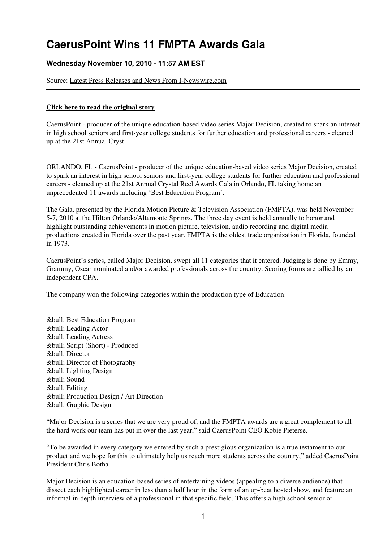## **CaerusPoint Wins 11 FMPTA Awards Gala**

## **Wednesday November 10, 2010 - 11:57 AM EST**

Source: [Latest Press Releases and News From I-Newswire.com](http://finance.bnet.com/bnet/news/channelinfo?ChannelID=6751)

## **[Click here to read the original story](http://finance.bnet.com/bnet/news/read?GUID=15523758)**

CaerusPoint - producer of the unique education-based video series Major Decision, created to spark an interest in high school seniors and first-year college students for further education and professional careers - cleaned up at the 21st Annual Cryst

ORLANDO, FL - CaerusPoint - producer of the unique education-based video series Major Decision, created to spark an interest in high school seniors and first-year college students for further education and professional careers - cleaned up at the 21st Annual Crystal Reel Awards Gala in Orlando, FL taking home an unprecedented 11 awards including 'Best Education Program'.

The Gala, presented by the Florida Motion Picture & Television Association (FMPTA), was held November 5-7, 2010 at the Hilton Orlando/Altamonte Springs. The three day event is held annually to honor and highlight outstanding achievements in motion picture, television, audio recording and digital media productions created in Florida over the past year. FMPTA is the oldest trade organization in Florida, founded in 1973.

CaerusPoint's series, called Major Decision, swept all 11 categories that it entered. Judging is done by Emmy, Grammy, Oscar nominated and/or awarded professionals across the country. Scoring forms are tallied by an independent CPA.

The company won the following categories within the production type of Education:

& bull; Best Education Program &bull: Leading Actor • Leading Actress • Script (Short) - Produced • Director • Director of Photography & bull; Lighting Design &bull: Sound • Editing • Production Design / Art Direction • Graphic Design

"Major Decision is a series that we are very proud of, and the FMPTA awards are a great complement to all the hard work our team has put in over the last year," said CaerusPoint CEO Kobie Pieterse.

"To be awarded in every category we entered by such a prestigious organization is a true testament to our product and we hope for this to ultimately help us reach more students across the country," added CaerusPoint President Chris Botha.

Major Decision is an education-based series of entertaining videos (appealing to a diverse audience) that dissect each highlighted career in less than a half hour in the form of an up-beat hosted show, and feature an informal in-depth interview of a professional in that specific field. This offers a high school senior or